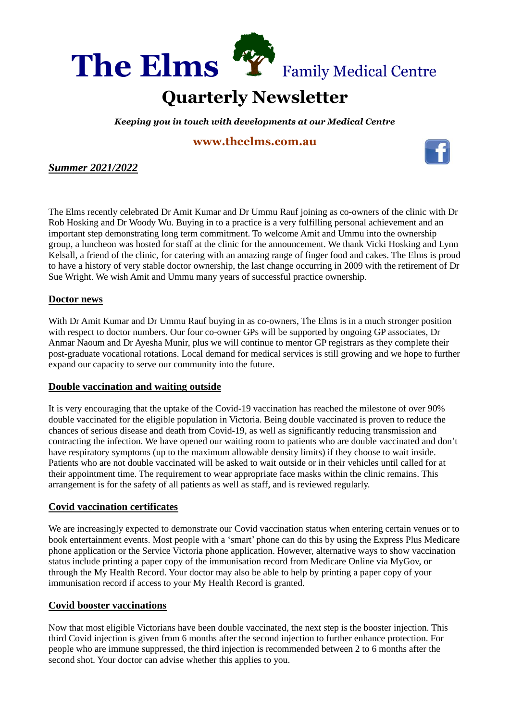

#### **Quarterly Newsletter** . . .

*Keeping you in touch with developments at our Medical Centre* QU

# **[www.theelms.com.au](http://www.theelms.com.au/)** AR

*Summer 2021/2022*

The Elms recently celebrated Dr Amit Kumar and Dr Ummu Rauf joining as co-owners of the clinic with Dr Rob Hosking and Dr Woody Wu. Buying in to a practice is a very fulfilling personal achievement and an important step demonstrating long term commitment. To welcome Amit and Ummu into the ownership group, a luncheon was hosted for staff at the clinic for the announcement. We thank Vicki Hosking and Lynn Kelsall, a friend of the clinic, for catering with an amazing range of finger food and cakes. The Elms is proud to have a history of very stable doctor ownership, the last change occurring in 2009 with the retirement of Dr Sue Wright. We wish Amit and Ummu many years of successful practice ownership.

## **Doctor news**

With Dr Amit Kumar and Dr Ummu Rauf buying in as co-owners, The Elms is in a much stronger position with respect to doctor numbers. Our four co-owner GPs will be supported by ongoing GP associates, Dr Anmar Naoum and Dr Ayesha Munir, plus we will continue to mentor GP registrars as they complete their post-graduate vocational rotations. Local demand for medical services is still growing and we hope to further expand our capacity to serve our community into the future.

### **Double vaccination and waiting outside**

It is very encouraging that the uptake of the Covid-19 vaccination has reached the milestone of over 90% double vaccinated for the eligible population in Victoria. Being double vaccinated is proven to reduce the chances of serious disease and death from Covid-19, as well as significantly reducing transmission and contracting the infection. We have opened our waiting room to patients who are double vaccinated and don't have respiratory symptoms (up to the maximum allowable density limits) if they choose to wait inside. Patients who are not double vaccinated will be asked to wait outside or in their vehicles until called for at their appointment time. The requirement to wear appropriate face masks within the clinic remains. This arrangement is for the safety of all patients as well as staff, and is reviewed regularly.

## **Covid vaccination certificates**

We are increasingly expected to demonstrate our Covid vaccination status when entering certain venues or to book entertainment events. Most people with a 'smart' phone can do this by using the Express Plus Medicare phone application or the Service Victoria phone application. However, alternative ways to show vaccination status include printing a paper copy of the immunisation record from Medicare Online via MyGov, or through the My Health Record. Your doctor may also be able to help by printing a paper copy of your immunisation record if access to your My Health Record is granted.

### **Covid booster vaccinations**

Now that most eligible Victorians have been double vaccinated, the next step is the booster injection. This third Covid injection is given from 6 months after the second injection to further enhance protection. For people who are immune suppressed, the third injection is recommended between 2 to 6 months after the second shot. Your doctor can advise whether this applies to you.